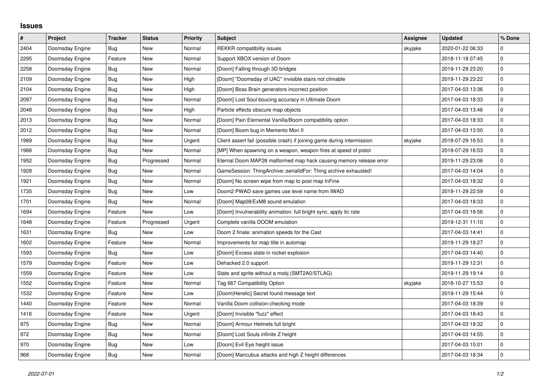## **Issues**

| $\sharp$ | <b>Project</b>  | <b>Tracker</b> | <b>Status</b> | <b>Priority</b> | <b>Subject</b>                                                          | Assignee | <b>Updated</b>   | % Done      |
|----------|-----------------|----------------|---------------|-----------------|-------------------------------------------------------------------------|----------|------------------|-------------|
| 2404     | Doomsday Engine | Bug            | <b>New</b>    | Normal          | <b>REKKR</b> compatibility issues                                       | skyjake  | 2020-01-22 06:33 | $\Omega$    |
| 2295     | Doomsday Engine | Feature        | <b>New</b>    | Normal          | Support XBOX version of Doom                                            |          | 2018-11-18 07:45 | $\pmb{0}$   |
| 2258     | Doomsday Engine | Bug            | <b>New</b>    | Normal          | [Doom] Falling through 3D bridges                                       |          | 2019-11-29 23:20 | $\pmb{0}$   |
| 2109     | Doomsday Engine | Bug            | New           | High            | [Doom] "Doomsday of UAC" invisible stairs not climable                  |          | 2019-11-29 23:22 | $\mathsf 0$ |
| 2104     | Doomsday Engine | Bug            | <b>New</b>    | High            | [Doom] Boss Brain generators incorrect position                         |          | 2017-04-03 13:36 | $\pmb{0}$   |
| 2097     | Doomsday Engine | Bug            | <b>New</b>    | Normal          | [Doom] Lost Soul boucing accuracy in Ultimate Doom                      |          | 2017-04-03 18:33 | $\mathbf 0$ |
| 2048     | Doomsday Engine | Bug            | New           | High            | Particle effects obscure map objects                                    |          | 2017-04-03 13:46 | $\pmb{0}$   |
| 2013     | Doomsday Engine | Bug            | <b>New</b>    | Normal          | [Doom] Pain Elemental Vanilla/Boom compatibility option                 |          | 2017-04-03 18:33 | $\pmb{0}$   |
| 2012     | Doomsday Engine | <b>Bug</b>     | <b>New</b>    | Normal          | [Doom] Boom bug in Memento Mori II                                      |          | 2017-04-03 13:50 | $\pmb{0}$   |
| 1989     | Doomsday Engine | Bug            | <b>New</b>    | Urgent          | Client assert fail (possible crash) if joining game during intermission | skyjake  | 2018-07-29 16:53 | $\pmb{0}$   |
| 1988     | Doomsday Engine | Bug            | New           | Normal          | [MP] When spawning on a weapon, weapon fires at speed of pistol         |          | 2018-07-29 16:53 | $\pmb{0}$   |
| 1952     | Doomsday Engine | Bug            | Progressed    | Normal          | Eternal Doom MAP26 malformed map hack causing memory release error      |          | 2019-11-29 23:06 | $\mathsf 0$ |
| 1928     | Doomsday Engine | Bug            | <b>New</b>    | Normal          | GameSession: ThingArchive::serialIdFor: Thing archive exhausted!        |          | 2017-04-03 14:04 | $\pmb{0}$   |
| 1921     | Doomsday Engine | Bug            | <b>New</b>    | Normal          | [Doom] No screen wipe from map to post map InFine                       |          | 2017-04-03 18:32 | $\pmb{0}$   |
| 1735     | Doomsday Engine | Bug            | <b>New</b>    | Low             | Doom2 PWAD save games use level name from IWAD                          |          | 2019-11-29 22:59 | 0           |
| 1701     | Doomsday Engine | Bug            | <b>New</b>    | Normal          | [Doom] Map08/ExM8 sound emulation                                       |          | 2017-04-03 18:33 | $\pmb{0}$   |
| 1694     | Doomsday Engine | Feature        | New           | Low             | [Doom] Invulnerability animation: full bright sync, apply tic rate      |          | 2017-04-03 18:56 | $\pmb{0}$   |
| 1648     | Doomsday Engine | Feature        | Progressed    | Urgent          | Complete vanilla DOOM emulation                                         |          | 2019-12-31 11:10 | $\mathbf 0$ |
| 1631     | Doomsday Engine | Bug            | <b>New</b>    | Low             | Doom 2 finale: animation speeds for the Cast                            |          | 2017-04-03 14:41 | $\pmb{0}$   |
| 1602     | Doomsday Engine | Feature        | <b>New</b>    | Normal          | Improvements for map title in automap                                   |          | 2019-11-29 18:27 | $\mathsf 0$ |
| 1593     | Doomsday Engine | Bug            | <b>New</b>    | Low             | [Doom] Excess state in rocket explosion                                 |          | 2017-04-03 14:40 | 0           |
| 1579     | Doomsday Engine | Feature        | <b>New</b>    | Low             | Dehacked 2.0 support                                                    |          | 2019-11-29 12:31 | $\pmb{0}$   |
| 1559     | Doomsday Engine | Feature        | <b>New</b>    | Low             | State and sprite without a mobj (SMT2A0/STLAG)                          |          | 2019-11-29 19:14 | $\mathbf 0$ |
| 1552     | Doomsday Engine | Feature        | New           | Normal          | Tag 667 Compatibility Option                                            | skyjake  | 2018-10-27 15:53 | $\mathbf 0$ |
| 1532     | Doomsday Engine | Feature        | <b>New</b>    | Low             | [Doom Heretic] Secret found message text                                |          | 2019-11-29 15:44 | $\pmb{0}$   |
| 1440     | Doomsday Engine | Feature        | <b>New</b>    | Normal          | Vanilla Doom collision-checking mode                                    |          | 2017-04-03 18:39 | $\pmb{0}$   |
| 1416     | Doomsday Engine | Feature        | <b>New</b>    | Urgent          | [Doom] Invisible "fuzz" effect                                          |          | 2017-04-03 18:43 | $\pmb{0}$   |
| 975      | Doomsday Engine | <b>Bug</b>     | <b>New</b>    | Normal          | [Doom] Armour Helmets full bright                                       |          | 2017-04-03 18:32 | $\pmb{0}$   |
| 972      | Doomsday Engine | Bug            | New           | Normal          | [Doom] Lost Souls infinite Z height                                     |          | 2017-04-03 14:55 | $\pmb{0}$   |
| 970      | Doomsday Engine | Bug            | <b>New</b>    | Low             | [Doom] Evil Eye height issue                                            |          | 2017-04-03 15:01 | $\mathsf 0$ |
| 968      | Doomsday Engine | <b>Bug</b>     | New           | Normal          | [Doom] Mancubus attacks and high Z height differences                   |          | 2017-04-03 18:34 | $\pmb{0}$   |